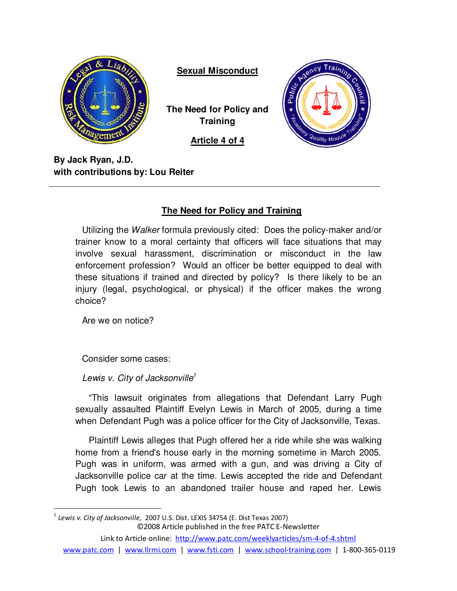

**Sexual Misconduct**

**The Need for Policy and Training** 

**Article 4 of 4**



**By Jack Ryan, J.D. with contributions by: Lou Reiter**

# **The Need for Policy and Training**

Utilizing the Walker formula previously cited: Does the policy-maker and/or trainer know to a moral certainty that officers will face situations that may involve sexual harassment, discrimination or misconduct in the law enforcement profession? Would an officer be better equipped to deal with these situations if trained and directed by policy? Is there likely to be an injury (legal, psychological, or physical) if the officer makes the wrong choice?

Are we on notice?

 $\overline{a}$ 

Consider some cases:

Lewis v. City of Jacksonville<sup>1</sup>

"This lawsuit originates from allegations that Defendant Larry Pugh sexually assaulted Plaintiff Evelyn Lewis in March of 2005, during a time when Defendant Pugh was a police officer for the City of Jacksonville, Texas.

Plaintiff Lewis alleges that Pugh offered her a ride while she was walking home from a friend's house early in the morning sometime in March 2005. Pugh was in uniform, was armed with a gun, and was driving a City of Jacksonville police car at the time. Lewis accepted the ride and Defendant Pugh took Lewis to an abandoned trailer house and raped her. Lewis

©2008 Article published in the free PATC E-Newsletter Link to Article online: http://www.patc.com/weeklyarticles/sm-4-of-4.shtml www.patc.com | www.llrmi.com | www.fsti.com | www.school-training.com | 1-800-365-0119  $^1$  Lewis v. City of Jacksonville, 2007 U.S. Dist. LEXIS 34754 (E. Dist Texas 2007)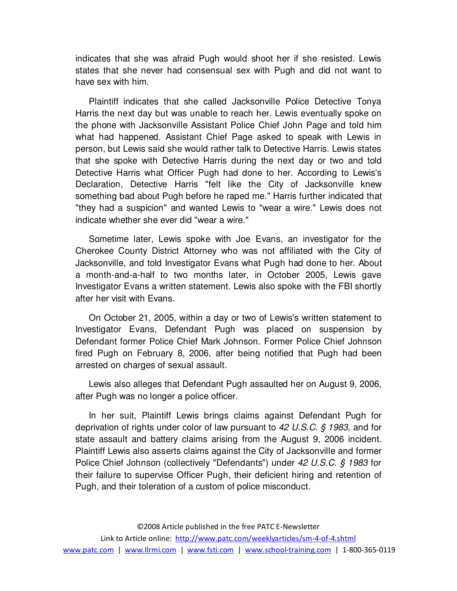indicates that she was afraid Pugh would shoot her if she resisted. Lewis states that she never had consensual sex with Pugh and did not want to have sex with him.

Plaintiff indicates that she called Jacksonville Police Detective Tonya Harris the next day but was unable to reach her. Lewis eventually spoke on the phone with Jacksonville Assistant Police Chief John Page and told him what had happened. Assistant Chief Page asked to speak with Lewis in person, but Lewis said she would rather talk to Detective Harris. Lewis states that she spoke with Detective Harris during the next day or two and told Detective Harris what Officer Pugh had done to her. According to Lewis's Declaration, Detective Harris "felt like the City of Jacksonville knew something bad about Pugh before he raped me." Harris further indicated that "they had a suspicion" and wanted Lewis to "wear a wire." Lewis does not indicate whether she ever did "wear a wire."

Sometime later, Lewis spoke with Joe Evans, an investigator for the Cherokee County District Attorney who was not affiliated with the City of Jacksonville, and told Investigator Evans what Pugh had done to her. About a month-and-a-half to two months later, in October 2005, Lewis gave Investigator Evans a written statement. Lewis also spoke with the FBI shortly after her visit with Evans.

On October 21, 2005, within a day or two of Lewis's written statement to Investigator Evans, Defendant Pugh was placed on suspension by Defendant former Police Chief Mark Johnson. Former Police Chief Johnson fired Pugh on February 8, 2006, after being notified that Pugh had been arrested on charges of sexual assault.

Lewis also alleges that Defendant Pugh assaulted her on August 9, 2006, after Pugh was no longer a police officer.

In her suit, Plaintiff Lewis brings claims against Defendant Pugh for deprivation of rights under color of law pursuant to 42 U.S.C. § 1983, and for state assault and battery claims arising from the August 9, 2006 incident. Plaintiff Lewis also asserts claims against the City of Jacksonville and former Police Chief Johnson (collectively "Defendants") under 42 U.S.C. § 1983 for their failure to supervise Officer Pugh, their deficient hiring and retention of Pugh, and their toleration of a custom of police misconduct.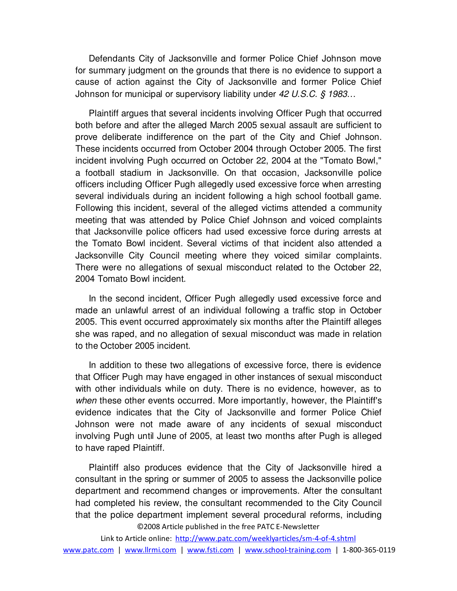Defendants City of Jacksonville and former Police Chief Johnson move for summary judgment on the grounds that there is no evidence to support a cause of action against the City of Jacksonville and former Police Chief Johnson for municipal or supervisory liability under 42 U.S.C. § 1983...

Plaintiff argues that several incidents involving Officer Pugh that occurred both before and after the alleged March 2005 sexual assault are sufficient to prove deliberate indifference on the part of the City and Chief Johnson. These incidents occurred from October 2004 through October 2005. The first incident involving Pugh occurred on October 22, 2004 at the "Tomato Bowl," a football stadium in Jacksonville. On that occasion, Jacksonville police officers including Officer Pugh allegedly used excessive force when arresting several individuals during an incident following a high school football game. Following this incident, several of the alleged victims attended a community meeting that was attended by Police Chief Johnson and voiced complaints that Jacksonville police officers had used excessive force during arrests at the Tomato Bowl incident. Several victims of that incident also attended a Jacksonville City Council meeting where they voiced similar complaints. There were no allegations of sexual misconduct related to the October 22, 2004 Tomato Bowl incident.

In the second incident, Officer Pugh allegedly used excessive force and made an unlawful arrest of an individual following a traffic stop in October 2005. This event occurred approximately six months after the Plaintiff alleges she was raped, and no allegation of sexual misconduct was made in relation to the October 2005 incident.

In addition to these two allegations of excessive force, there is evidence that Officer Pugh may have engaged in other instances of sexual misconduct with other individuals while on duty. There is no evidence, however, as to when these other events occurred. More importantly, however, the Plaintiff's evidence indicates that the City of Jacksonville and former Police Chief Johnson were not made aware of any incidents of sexual misconduct involving Pugh until June of 2005, at least two months after Pugh is alleged to have raped Plaintiff.

©2008 Article published in the free PATC E-Newsletter Plaintiff also produces evidence that the City of Jacksonville hired a consultant in the spring or summer of 2005 to assess the Jacksonville police department and recommend changes or improvements. After the consultant had completed his review, the consultant recommended to the City Council that the police department implement several procedural reforms, including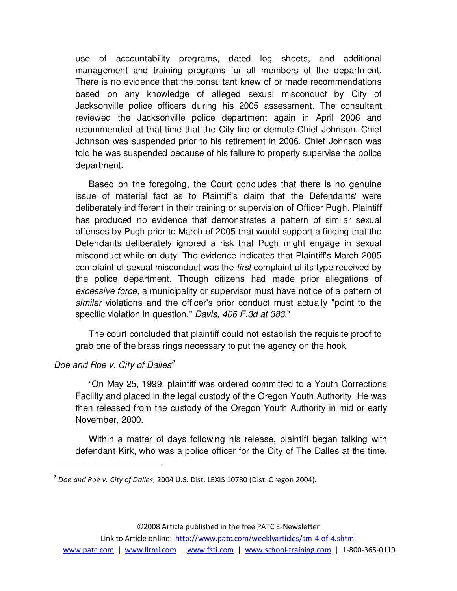use of accountability programs, dated log sheets, and additional management and training programs for all members of the department. There is no evidence that the consultant knew of or made recommendations based on any knowledge of alleged sexual misconduct by City of Jacksonville police officers during his 2005 assessment. The consultant reviewed the Jacksonville police department again in April 2006 and recommended at that time that the City fire or demote Chief Johnson. Chief Johnson was suspended prior to his retirement in 2006. Chief Johnson was told he was suspended because of his failure to properly supervise the police department.

Based on the foregoing, the Court concludes that there is no genuine issue of material fact as to Plaintiff's claim that the Defendants' were deliberately indifferent in their training or supervision of Officer Pugh. Plaintiff has produced no evidence that demonstrates a pattern of similar sexual offenses by Pugh prior to March of 2005 that would support a finding that the Defendants deliberately ignored a risk that Pugh might engage in sexual misconduct while on duty. The evidence indicates that Plaintiff's March 2005 complaint of sexual misconduct was the first complaint of its type received by the police department. Though citizens had made prior allegations of excessive force, a municipality or supervisor must have notice of a pattern of similar violations and the officer's prior conduct must actually "point to the specific violation in question." Davis, 406 F.3d at 383."

The court concluded that plaintiff could not establish the requisite proof to grab one of the brass rings necessary to put the agency on the hook.

# Doe and Roe v. City of Dalles<sup>2</sup>

 $\overline{a}$ 

"On May 25, 1999, plaintiff was ordered committed to a Youth Corrections Facility and placed in the legal custody of the Oregon Youth Authority. He was then released from the custody of the Oregon Youth Authority in mid or early November, 2000.

Within a matter of days following his release, plaintiff began talking with defendant Kirk, who was a police officer for the City of The Dalles at the time.

<sup>&</sup>lt;sup>2</sup> Doe and Roe v. City of Dalles, 2004 U.S. Dist. LEXIS 10780 (Dist. Oregon 2004).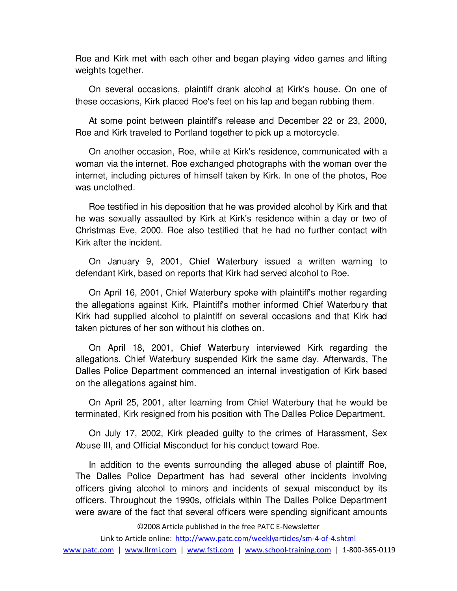Roe and Kirk met with each other and began playing video games and lifting weights together.

On several occasions, plaintiff drank alcohol at Kirk's house. On one of these occasions, Kirk placed Roe's feet on his lap and began rubbing them.

At some point between plaintiff's release and December 22 or 23, 2000, Roe and Kirk traveled to Portland together to pick up a motorcycle.

On another occasion, Roe, while at Kirk's residence, communicated with a woman via the internet. Roe exchanged photographs with the woman over the internet, including pictures of himself taken by Kirk. In one of the photos, Roe was unclothed.

Roe testified in his deposition that he was provided alcohol by Kirk and that he was sexually assaulted by Kirk at Kirk's residence within a day or two of Christmas Eve, 2000. Roe also testified that he had no further contact with Kirk after the incident.

On January 9, 2001, Chief Waterbury issued a written warning to defendant Kirk, based on reports that Kirk had served alcohol to Roe.

On April 16, 2001, Chief Waterbury spoke with plaintiff's mother regarding the allegations against Kirk. Plaintiff's mother informed Chief Waterbury that Kirk had supplied alcohol to plaintiff on several occasions and that Kirk had taken pictures of her son without his clothes on.

On April 18, 2001, Chief Waterbury interviewed Kirk regarding the allegations. Chief Waterbury suspended Kirk the same day. Afterwards, The Dalles Police Department commenced an internal investigation of Kirk based on the allegations against him.

On April 25, 2001, after learning from Chief Waterbury that he would be terminated, Kirk resigned from his position with The Dalles Police Department.

On July 17, 2002, Kirk pleaded guilty to the crimes of Harassment, Sex Abuse III, and Official Misconduct for his conduct toward Roe.

In addition to the events surrounding the alleged abuse of plaintiff Roe, The Dalles Police Department has had several other incidents involving officers giving alcohol to minors and incidents of sexual misconduct by its officers. Throughout the 1990s, officials within The Dalles Police Department were aware of the fact that several officers were spending significant amounts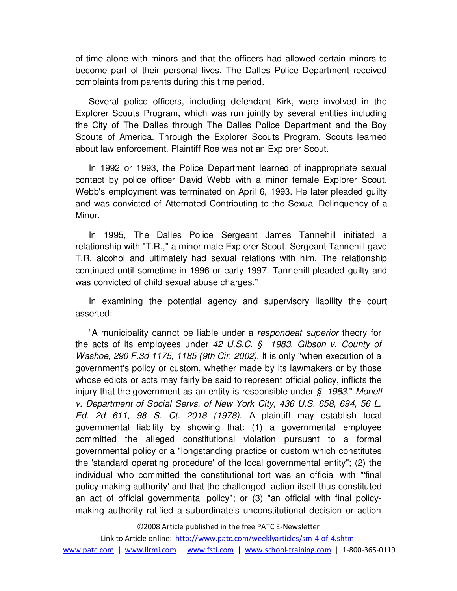of time alone with minors and that the officers had allowed certain minors to become part of their personal lives. The Dalles Police Department received complaints from parents during this time period.

Several police officers, including defendant Kirk, were involved in the Explorer Scouts Program, which was run jointly by several entities including the City of The Dalles through The Dalles Police Department and the Boy Scouts of America. Through the Explorer Scouts Program, Scouts learned about law enforcement. Plaintiff Roe was not an Explorer Scout.

In 1992 or 1993, the Police Department learned of inappropriate sexual contact by police officer David Webb with a minor female Explorer Scout. Webb's employment was terminated on April 6, 1993. He later pleaded guilty and was convicted of Attempted Contributing to the Sexual Delinquency of a Minor.

In 1995, The Dalles Police Sergeant James Tannehill initiated a relationship with "T.R.," a minor male Explorer Scout. Sergeant Tannehill gave T.R. alcohol and ultimately had sexual relations with him. The relationship continued until sometime in 1996 or early 1997. Tannehill pleaded guilty and was convicted of child sexual abuse charges."

In examining the potential agency and supervisory liability the court asserted:

"A municipality cannot be liable under a respondeat superior theory for the acts of its employees under 42 U.S.C. § 1983. Gibson v. County of Washoe, 290 F.3d 1175, 1185 (9th Cir. 2002). It is only "when execution of a government's policy or custom, whether made by its lawmakers or by those whose edicts or acts may fairly be said to represent official policy, inflicts the injury that the government as an entity is responsible under  $\zeta$  1983." Monell v. Department of Social Servs. of New York City, 436 U.S. 658, 694, 56 L. Ed. 2d 611, 98 S. Ct. 2018 (1978). A plaintiff may establish local governmental liability by showing that: (1) a governmental employee committed the alleged constitutional violation pursuant to a formal governmental policy or a "longstanding practice or custom which constitutes the 'standard operating procedure' of the local governmental entity"; (2) the individual who committed the constitutional tort was an official with "'final policy-making authority' and that the challenged action itself thus constituted an act of official governmental policy"; or (3) "an official with final policymaking authority ratified a subordinate's unconstitutional decision or action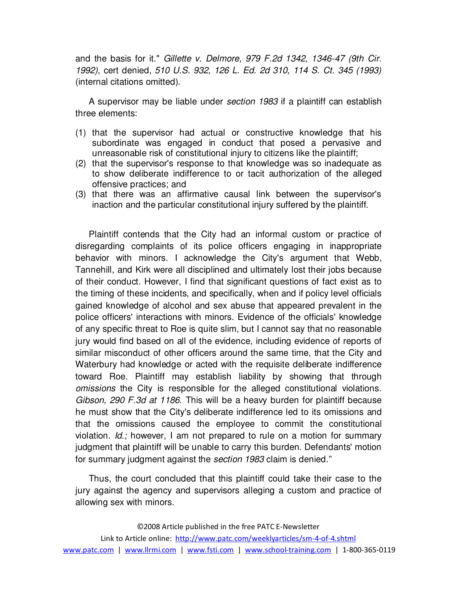and the basis for it." Gillette v. Delmore, 979 F.2d 1342, 1346-47 (9th Cir. 1992), cert denied, 510 U.S. 932, 126 L. Ed. 2d 310, 114 S. Ct. 345 (1993) (internal citations omitted).

A supervisor may be liable under section 1983 if a plaintiff can establish three elements:

- (1) that the supervisor had actual or constructive knowledge that his subordinate was engaged in conduct that posed a pervasive and unreasonable risk of constitutional injury to citizens like the plaintiff;
- (2) that the supervisor's response to that knowledge was so inadequate as to show deliberate indifference to or tacit authorization of the alleged offensive practices; and
- (3) that there was an affirmative causal link between the supervisor's inaction and the particular constitutional injury suffered by the plaintiff.

Plaintiff contends that the City had an informal custom or practice of disregarding complaints of its police officers engaging in inappropriate behavior with minors. I acknowledge the City's argument that Webb, Tannehill, and Kirk were all disciplined and ultimately lost their jobs because of their conduct. However, I find that significant questions of fact exist as to the timing of these incidents, and specifically, when and if policy level officials gained knowledge of alcohol and sex abuse that appeared prevalent in the police officers' interactions with minors. Evidence of the officials' knowledge of any specific threat to Roe is quite slim, but I cannot say that no reasonable jury would find based on all of the evidence, including evidence of reports of similar misconduct of other officers around the same time, that the City and Waterbury had knowledge or acted with the requisite deliberate indifference toward Roe. Plaintiff may establish liability by showing that through omissions the City is responsible for the alleged constitutional violations. Gibson, 290 F.3d at 1186. This will be a heavy burden for plaintiff because he must show that the City's deliberate indifference led to its omissions and that the omissions caused the employee to commit the constitutional violation.  $Id$ ; however, I am not prepared to rule on a motion for summary judgment that plaintiff will be unable to carry this burden. Defendants' motion for summary judgment against the section 1983 claim is denied."

Thus, the court concluded that this plaintiff could take their case to the jury against the agency and supervisors alleging a custom and practice of allowing sex with minors.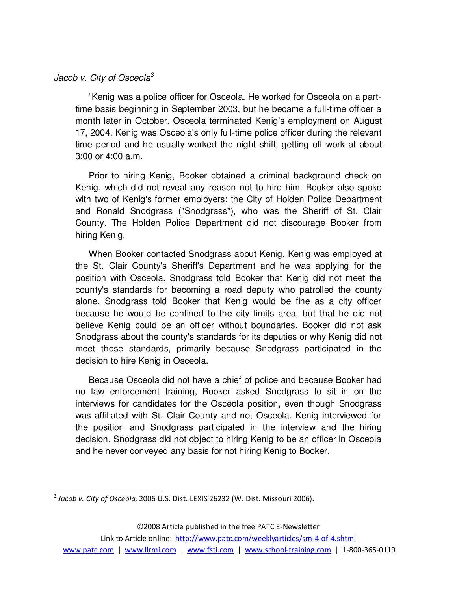# Jacob v. City of Osceola<sup>3</sup>

"Kenig was a police officer for Osceola. He worked for Osceola on a parttime basis beginning in September 2003, but he became a full-time officer a month later in October. Osceola terminated Kenig's employment on August 17, 2004. Kenig was Osceola's only full-time police officer during the relevant time period and he usually worked the night shift, getting off work at about 3:00 or 4:00 a.m.

Prior to hiring Kenig, Booker obtained a criminal background check on Kenig, which did not reveal any reason not to hire him. Booker also spoke with two of Kenig's former employers: the City of Holden Police Department and Ronald Snodgrass ("Snodgrass"), who was the Sheriff of St. Clair County. The Holden Police Department did not discourage Booker from hiring Kenig.

When Booker contacted Snodgrass about Kenig, Kenig was employed at the St. Clair County's Sheriff's Department and he was applying for the position with Osceola. Snodgrass told Booker that Kenig did not meet the county's standards for becoming a road deputy who patrolled the county alone. Snodgrass told Booker that Kenig would be fine as a city officer because he would be confined to the city limits area, but that he did not believe Kenig could be an officer without boundaries. Booker did not ask Snodgrass about the county's standards for its deputies or why Kenig did not meet those standards, primarily because Snodgrass participated in the decision to hire Kenig in Osceola.

Because Osceola did not have a chief of police and because Booker had no law enforcement training, Booker asked Snodgrass to sit in on the interviews for candidates for the Osceola position, even though Snodgrass was affiliated with St. Clair County and not Osceola. Kenig interviewed for the position and Snodgrass participated in the interview and the hiring decision. Snodgrass did not object to hiring Kenig to be an officer in Osceola and he never conveyed any basis for not hiring Kenig to Booker.

 $\overline{a}$ 

 $^3$  Jacob v. City of Osceola, 2006 U.S. Dist. LEXIS 26232 (W. Dist. Missouri 2006).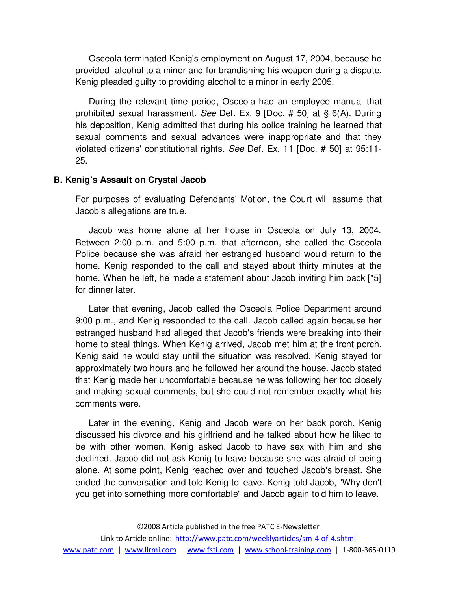Osceola terminated Kenig's employment on August 17, 2004, because he provided alcohol to a minor and for brandishing his weapon during a dispute. Kenig pleaded guilty to providing alcohol to a minor in early 2005.

During the relevant time period, Osceola had an employee manual that prohibited sexual harassment. See Def. Ex. 9 [Doc. # 50] at § 6(A). During his deposition, Kenig admitted that during his police training he learned that sexual comments and sexual advances were inappropriate and that they violated citizens' constitutional rights. See Def. Ex. 11 [Doc. # 50] at 95:11- 25.

#### **B. Kenig's Assault on Crystal Jacob**

For purposes of evaluating Defendants' Motion, the Court will assume that Jacob's allegations are true.

Jacob was home alone at her house in Osceola on July 13, 2004. Between 2:00 p.m. and 5:00 p.m. that afternoon, she called the Osceola Police because she was afraid her estranged husband would return to the home. Kenig responded to the call and stayed about thirty minutes at the home. When he left, he made a statement about Jacob inviting him back [\*5] for dinner later.

Later that evening, Jacob called the Osceola Police Department around 9:00 p.m., and Kenig responded to the call. Jacob called again because her estranged husband had alleged that Jacob's friends were breaking into their home to steal things. When Kenig arrived, Jacob met him at the front porch. Kenig said he would stay until the situation was resolved. Kenig stayed for approximately two hours and he followed her around the house. Jacob stated that Kenig made her uncomfortable because he was following her too closely and making sexual comments, but she could not remember exactly what his comments were.

Later in the evening, Kenig and Jacob were on her back porch. Kenig discussed his divorce and his girlfriend and he talked about how he liked to be with other women. Kenig asked Jacob to have sex with him and she declined. Jacob did not ask Kenig to leave because she was afraid of being alone. At some point, Kenig reached over and touched Jacob's breast. She ended the conversation and told Kenig to leave. Kenig told Jacob, "Why don't you get into something more comfortable" and Jacob again told him to leave.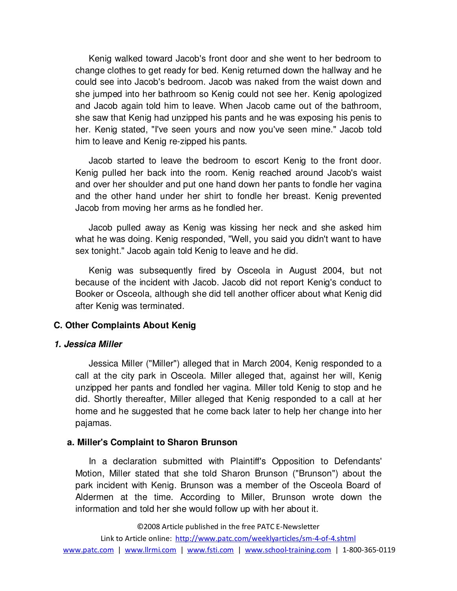Kenig walked toward Jacob's front door and she went to her bedroom to change clothes to get ready for bed. Kenig returned down the hallway and he could see into Jacob's bedroom. Jacob was naked from the waist down and she jumped into her bathroom so Kenig could not see her. Kenig apologized and Jacob again told him to leave. When Jacob came out of the bathroom, she saw that Kenig had unzipped his pants and he was exposing his penis to her. Kenig stated, "I've seen yours and now you've seen mine." Jacob told him to leave and Kenig re-zipped his pants.

Jacob started to leave the bedroom to escort Kenig to the front door. Kenig pulled her back into the room. Kenig reached around Jacob's waist and over her shoulder and put one hand down her pants to fondle her vagina and the other hand under her shirt to fondle her breast. Kenig prevented Jacob from moving her arms as he fondled her.

Jacob pulled away as Kenig was kissing her neck and she asked him what he was doing. Kenig responded, "Well, you said you didn't want to have sex tonight." Jacob again told Kenig to leave and he did.

Kenig was subsequently fired by Osceola in August 2004, but not because of the incident with Jacob. Jacob did not report Kenig's conduct to Booker or Osceola, although she did tell another officer about what Kenig did after Kenig was terminated.

# **C. Other Complaints About Kenig**

# **1. Jessica Miller**

Jessica Miller ("Miller") alleged that in March 2004, Kenig responded to a call at the city park in Osceola. Miller alleged that, against her will, Kenig unzipped her pants and fondled her vagina. Miller told Kenig to stop and he did. Shortly thereafter, Miller alleged that Kenig responded to a call at her home and he suggested that he come back later to help her change into her pajamas.

# **a. Miller's Complaint to Sharon Brunson**

In a declaration submitted with Plaintiff's Opposition to Defendants' Motion, Miller stated that she told Sharon Brunson ("Brunson") about the park incident with Kenig. Brunson was a member of the Osceola Board of Aldermen at the time. According to Miller, Brunson wrote down the information and told her she would follow up with her about it.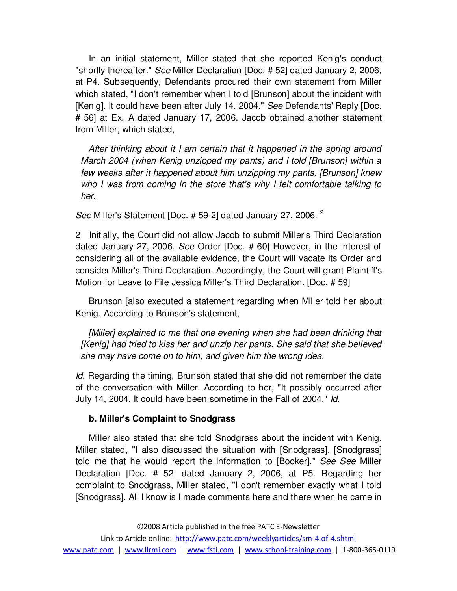In an initial statement, Miller stated that she reported Kenig's conduct "shortly thereafter." See Miller Declaration [Doc. # 52] dated January 2, 2006, at P4. Subsequently, Defendants procured their own statement from Miller which stated, "I don't remember when I told [Brunson] about the incident with [Kenig]. It could have been after July 14, 2004." See Defendants' Reply [Doc. # 56] at Ex. A dated January 17, 2006. Jacob obtained another statement from Miller, which stated,

 After thinking about it I am certain that it happened in the spring around March 2004 (when Kenig unzipped my pants) and I told [Brunson] within a few weeks after it happened about him unzipping my pants. [Brunson] knew who I was from coming in the store that's why I felt comfortable talking to her.

See Miller's Statement [Doc. # 59-2] dated January 27, 2006.<sup>2</sup>

2 Initially, the Court did not allow Jacob to submit Miller's Third Declaration dated January 27, 2006. See Order [Doc. # 60] However, in the interest of considering all of the available evidence, the Court will vacate its Order and consider Miller's Third Declaration. Accordingly, the Court will grant Plaintiff's Motion for Leave to File Jessica Miller's Third Declaration. [Doc. # 59]

Brunson [also executed a statement regarding when Miller told her about Kenig. According to Brunson's statement,

 [Miller] explained to me that one evening when she had been drinking that [Kenig] had tried to kiss her and unzip her pants. She said that she believed she may have come on to him, and given him the wrong idea.

Id. Regarding the timing, Brunson stated that she did not remember the date of the conversation with Miller. According to her, "It possibly occurred after July 14, 2004. It could have been sometime in the Fall of 2004." Id.

# **b. Miller's Complaint to Snodgrass**

Miller also stated that she told Snodgrass about the incident with Kenig. Miller stated, "I also discussed the situation with [Snodgrass]. [Snodgrass] told me that he would report the information to [Booker]." See See Miller Declaration [Doc. # 52] dated January 2, 2006, at P5. Regarding her complaint to Snodgrass, Miller stated, "I don't remember exactly what I told [Snodgrass]. All I know is I made comments here and there when he came in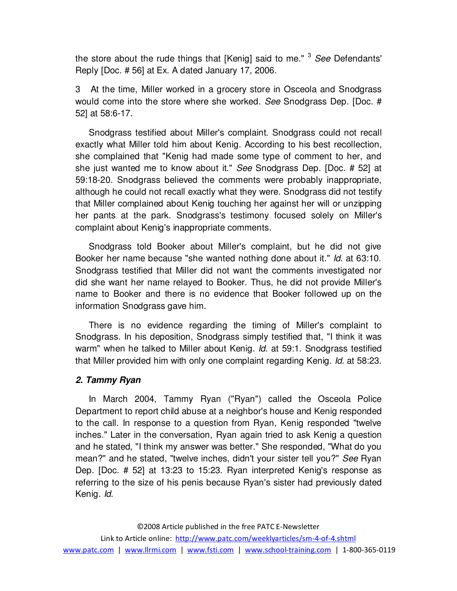the store about the rude things that [Kenig] said to me."  $3$  See Defendants' Reply [Doc. # 56] at Ex. A dated January 17, 2006.

3 At the time, Miller worked in a grocery store in Osceola and Snodgrass would come into the store where she worked. See Snodgrass Dep. [Doc. # 52] at 58:6-17.

Snodgrass testified about Miller's complaint. Snodgrass could not recall exactly what Miller told him about Kenig. According to his best recollection, she complained that "Kenig had made some type of comment to her, and she just wanted me to know about it." See Snodgrass Dep. [Doc. # 52] at 59:18-20. Snodgrass believed the comments were probably inappropriate, although he could not recall exactly what they were. Snodgrass did not testify that Miller complained about Kenig touching her against her will or unzipping her pants at the park. Snodgrass's testimony focused solely on Miller's complaint about Kenig's inappropriate comments.

Snodgrass told Booker about Miller's complaint, but he did not give Booker her name because "she wanted nothing done about it." Id. at 63:10. Snodgrass testified that Miller did not want the comments investigated nor did she want her name relayed to Booker. Thus, he did not provide Miller's name to Booker and there is no evidence that Booker followed up on the information Snodgrass gave him.

There is no evidence regarding the timing of Miller's complaint to Snodgrass. In his deposition, Snodgrass simply testified that, "I think it was warm" when he talked to Miller about Kenig. Id. at 59:1. Snodgrass testified that Miller provided him with only one complaint regarding Kenig. Id. at 58:23.

# **2. Tammy Ryan**

In March 2004, Tammy Ryan ("Ryan") called the Osceola Police Department to report child abuse at a neighbor's house and Kenig responded to the call. In response to a question from Ryan, Kenig responded "twelve inches." Later in the conversation, Ryan again tried to ask Kenig a question and he stated, "I think my answer was better." She responded, "What do you mean?" and he stated, "twelve inches, didn't your sister tell you?" See Ryan Dep. [Doc. # 52] at 13:23 to 15:23. Ryan interpreted Kenig's response as referring to the size of his penis because Ryan's sister had previously dated Kenig. Id.

©2008 Article published in the free PATC E-Newsletter Link to Article online: http://www.patc.com/weeklyarticles/sm-4-of-4.shtml www.patc.com | www.llrmi.com | www.fsti.com | www.school-training.com | 1-800-365-0119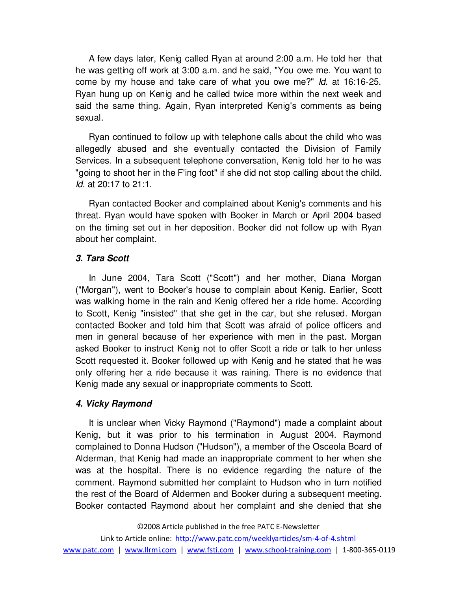A few days later, Kenig called Ryan at around 2:00 a.m. He told her that he was getting off work at 3:00 a.m. and he said, "You owe me. You want to come by my house and take care of what you owe me?" *ld.* at 16:16-25. Ryan hung up on Kenig and he called twice more within the next week and said the same thing. Again, Ryan interpreted Kenig's comments as being sexual.

Ryan continued to follow up with telephone calls about the child who was allegedly abused and she eventually contacted the Division of Family Services. In a subsequent telephone conversation, Kenig told her to he was "going to shoot her in the F'ing foot" if she did not stop calling about the child. Id. at 20:17 to 21:1.

Ryan contacted Booker and complained about Kenig's comments and his threat. Ryan would have spoken with Booker in March or April 2004 based on the timing set out in her deposition. Booker did not follow up with Ryan about her complaint.

# **3. Tara Scott**

In June 2004, Tara Scott ("Scott") and her mother, Diana Morgan ("Morgan"), went to Booker's house to complain about Kenig. Earlier, Scott was walking home in the rain and Kenig offered her a ride home. According to Scott, Kenig "insisted" that she get in the car, but she refused. Morgan contacted Booker and told him that Scott was afraid of police officers and men in general because of her experience with men in the past. Morgan asked Booker to instruct Kenig not to offer Scott a ride or talk to her unless Scott requested it. Booker followed up with Kenig and he stated that he was only offering her a ride because it was raining. There is no evidence that Kenig made any sexual or inappropriate comments to Scott.

# **4. Vicky Raymond**

It is unclear when Vicky Raymond ("Raymond") made a complaint about Kenig, but it was prior to his termination in August 2004. Raymond complained to Donna Hudson ("Hudson"), a member of the Osceola Board of Alderman, that Kenig had made an inappropriate comment to her when she was at the hospital. There is no evidence regarding the nature of the comment. Raymond submitted her complaint to Hudson who in turn notified the rest of the Board of Aldermen and Booker during a subsequent meeting. Booker contacted Raymond about her complaint and she denied that she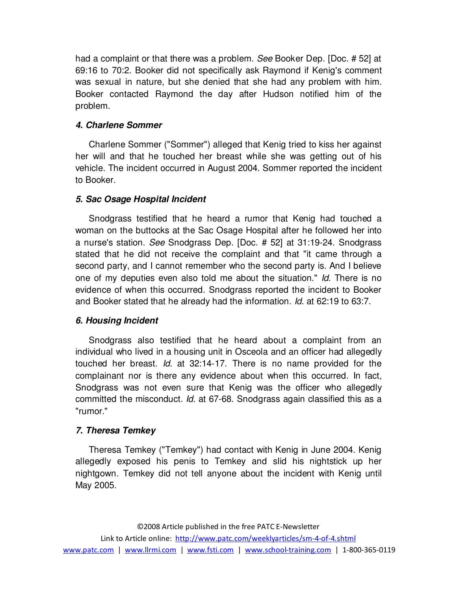had a complaint or that there was a problem. See Booker Dep. [Doc. # 52] at 69:16 to 70:2. Booker did not specifically ask Raymond if Kenig's comment was sexual in nature, but she denied that she had any problem with him. Booker contacted Raymond the day after Hudson notified him of the problem.

# **4. Charlene Sommer**

Charlene Sommer ("Sommer") alleged that Kenig tried to kiss her against her will and that he touched her breast while she was getting out of his vehicle. The incident occurred in August 2004. Sommer reported the incident to Booker.

# **5. Sac Osage Hospital Incident**

Snodgrass testified that he heard a rumor that Kenig had touched a woman on the buttocks at the Sac Osage Hospital after he followed her into a nurse's station. See Snodgrass Dep. [Doc. # 52] at 31:19-24. Snodgrass stated that he did not receive the complaint and that "it came through a second party, and I cannot remember who the second party is. And I believe one of my deputies even also told me about the situation." Id. There is no evidence of when this occurred. Snodgrass reported the incident to Booker and Booker stated that he already had the information. Id. at 62:19 to 63:7.

# **6. Housing Incident**

Snodgrass also testified that he heard about a complaint from an individual who lived in a housing unit in Osceola and an officer had allegedly touched her breast. Id. at 32:14-17. There is no name provided for the complainant nor is there any evidence about when this occurred. In fact, Snodgrass was not even sure that Kenig was the officer who allegedly committed the misconduct. Id. at 67-68. Snodgrass again classified this as a "rumor."

# **7. Theresa Temkey**

Theresa Temkey ("Temkey") had contact with Kenig in June 2004. Kenig allegedly exposed his penis to Temkey and slid his nightstick up her nightgown. Temkey did not tell anyone about the incident with Kenig until May 2005.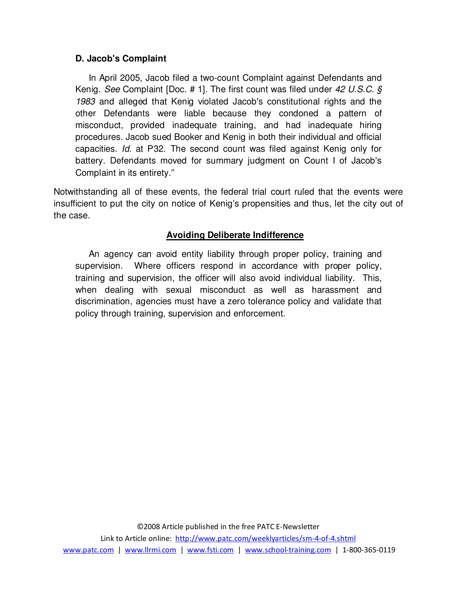# **D. Jacob's Complaint**

In April 2005, Jacob filed a two-count Complaint against Defendants and Kenig. See Complaint [Doc. # 1]. The first count was filed under 42 U.S.C. § 1983 and alleged that Kenig violated Jacob's constitutional rights and the other Defendants were liable because they condoned a pattern of misconduct, provided inadequate training, and had inadequate hiring procedures. Jacob sued Booker and Kenig in both their individual and official capacities. Id. at P32. The second count was filed against Kenig only for battery. Defendants moved for summary judgment on Count I of Jacob's Complaint in its entirety."

Notwithstanding all of these events, the federal trial court ruled that the events were insufficient to put the city on notice of Kenig's propensities and thus, let the city out of the case.

# **Avoiding Deliberate Indifference**

An agency can avoid entity liability through proper policy, training and supervision. Where officers respond in accordance with proper policy, training and supervision, the officer will also avoid individual liability. This, when dealing with sexual misconduct as well as harassment and discrimination, agencies must have a zero tolerance policy and validate that policy through training, supervision and enforcement.